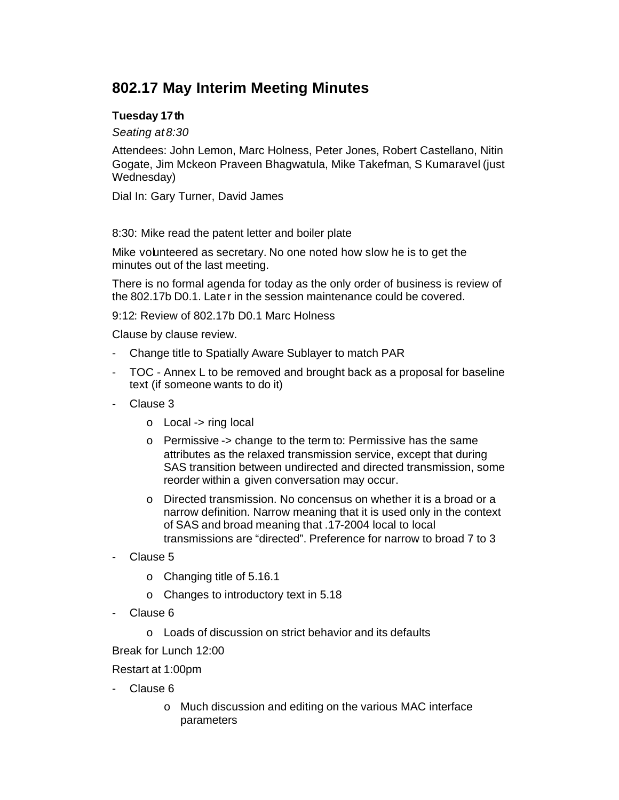# **802.17 May Interim Meeting Minutes**

## **Tuesday 17th**

*Seating at 8:30*

Attendees: John Lemon, Marc Holness, Peter Jones, Robert Castellano, Nitin Gogate, Jim Mckeon Praveen Bhagwatula, Mike Takefman, S Kumaravel (just Wednesday)

Dial In: Gary Turner, David James

8:30: Mike read the patent letter and boiler plate

Mike volunteered as secretary. No one noted how slow he is to get the minutes out of the last meeting.

There is no formal agenda for today as the only order of business is review of the 802.17b D0.1. Later in the session maintenance could be covered.

9:12: Review of 802.17b D0.1 Marc Holness

Clause by clause review.

- Change title to Spatially Aware Sublayer to match PAR
- TOC Annex L to be removed and brought back as a proposal for baseline text (if someone wants to do it)
- Clause 3
	- o Local -> ring local
	- o Permissive -> change to the term to: Permissive has the same attributes as the relaxed transmission service, except that during SAS transition between undirected and directed transmission, some reorder within a given conversation may occur.
	- o Directed transmission. No concensus on whether it is a broad or a narrow definition. Narrow meaning that it is used only in the context of SAS and broad meaning that .17-2004 local to local transmissions are "directed". Preference for narrow to broad 7 to 3
- Clause 5
	- o Changing title of 5.16.1
	- o Changes to introductory text in 5.18
- Clause 6
	- o Loads of discussion on strict behavior and its defaults

Break for Lunch 12:00

Restart at 1:00pm

- Clause 6
	- o Much discussion and editing on the various MAC interface parameters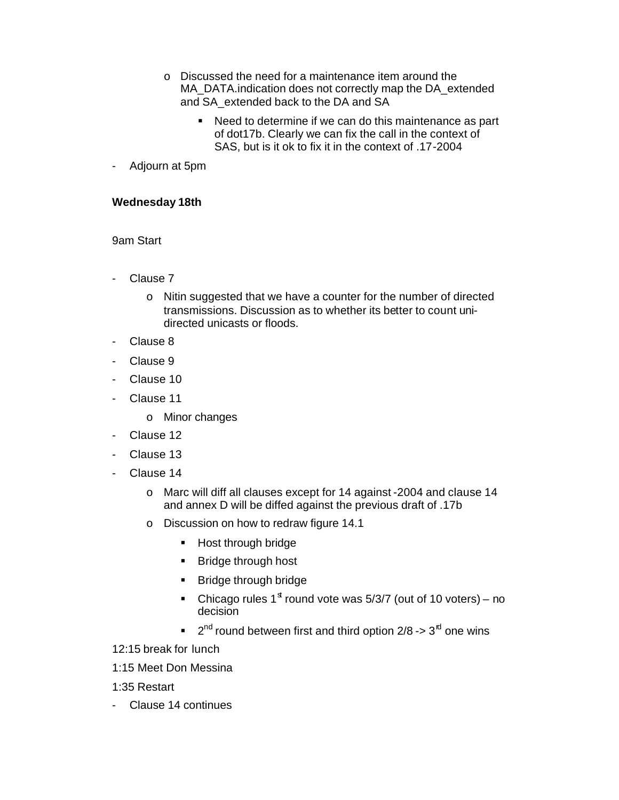- o Discussed the need for a maintenance item around the MA\_DATA.indication does not correctly map the DA\_extended and SA extended back to the DA and SA
	- **Need to determine if we can do this maintenance as part** of dot17b. Clearly we can fix the call in the context of SAS, but is it ok to fix it in the context of .17-2004
- Adjourn at 5pm

#### **Wednesday 18th**

### 9am Start

- Clause 7
	- o Nitin suggested that we have a counter for the number of directed transmissions. Discussion as to whether its better to count unidirected unicasts or floods.
- Clause 8
- Clause 9
- Clause 10
- Clause 11
	- o Minor changes
- Clause 12
- Clause 13
- Clause 14
	- o Marc will diff all clauses except for 14 against -2004 and clause 14 and annex D will be diffed against the previous draft of .17b
	- o Discussion on how to redraw figure 14.1
		- **Host through bridge**
		- **Bridge through host**
		- **Bridge through bridge**
		- Chicago rules 1<sup>st</sup> round vote was  $5/3/7$  (out of 10 voters) no decision
		- $\blacksquare$  2<sup>nd</sup> round between first and third option 2/8 -> 3<sup>rd</sup> one wins

12:15 break for lunch

1:15 Meet Don Messina

1:35 Restart

- Clause 14 continues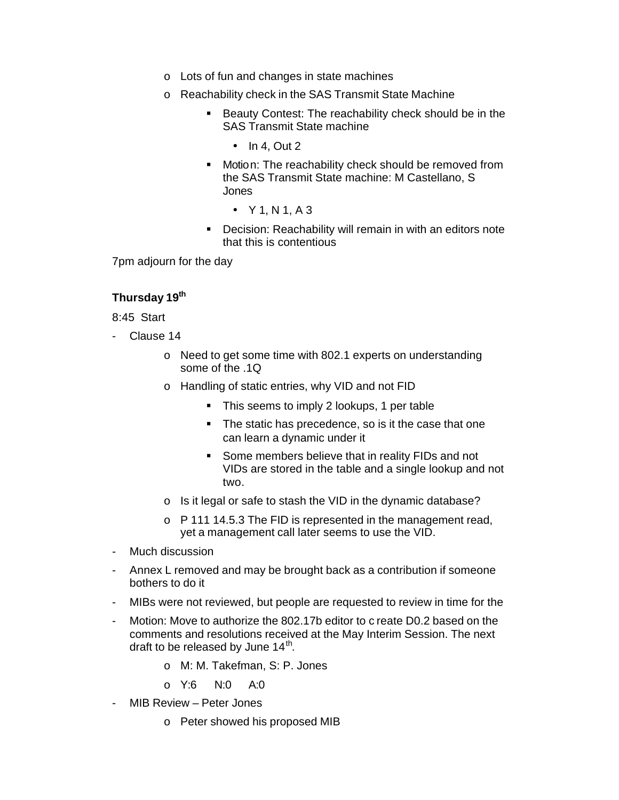- o Lots of fun and changes in state machines
- o Reachability check in the SAS Transmit State Machine
	- **Beauty Contest: The reachability check should be in the** SAS Transmit State machine
		- $\bullet$  In 4, Out 2
	- **•** Motion: The reachability check should be removed from the SAS Transmit State machine: M Castellano, S Jones
		- $Y 1, N 1, A 3$
	- ß Decision: Reachability will remain in with an editors note that this is contentious

7pm adjourn for the day

#### **Thursday 19th**

8:45 Start

- Clause 14
	- o Need to get some time with 802.1 experts on understanding some of the .1Q
	- o Handling of static entries, why VID and not FID
		- **This seems to imply 2 lookups, 1 per table**
		- The static has precedence, so is it the case that one can learn a dynamic under it
		- **Some members believe that in reality FIDs and not** VIDs are stored in the table and a single lookup and not two.
	- o Is it legal or safe to stash the VID in the dynamic database?
	- o P 111 14.5.3 The FID is represented in the management read, yet a management call later seems to use the VID.
- Much discussion
- Annex L removed and may be brought back as a contribution if someone bothers to do it
- MIBs were not reviewed, but people are requested to review in time for the
- Motion: Move to authorize the 802.17b editor to c reate D0.2 based on the comments and resolutions received at the May Interim Session. The next draft to be released by June  $14<sup>th</sup>$ .
	- o M: M. Takefman, S: P. Jones
	- o Y:6 N:0 A:0
- MIB Review Peter Jones
	- o Peter showed his proposed MIB